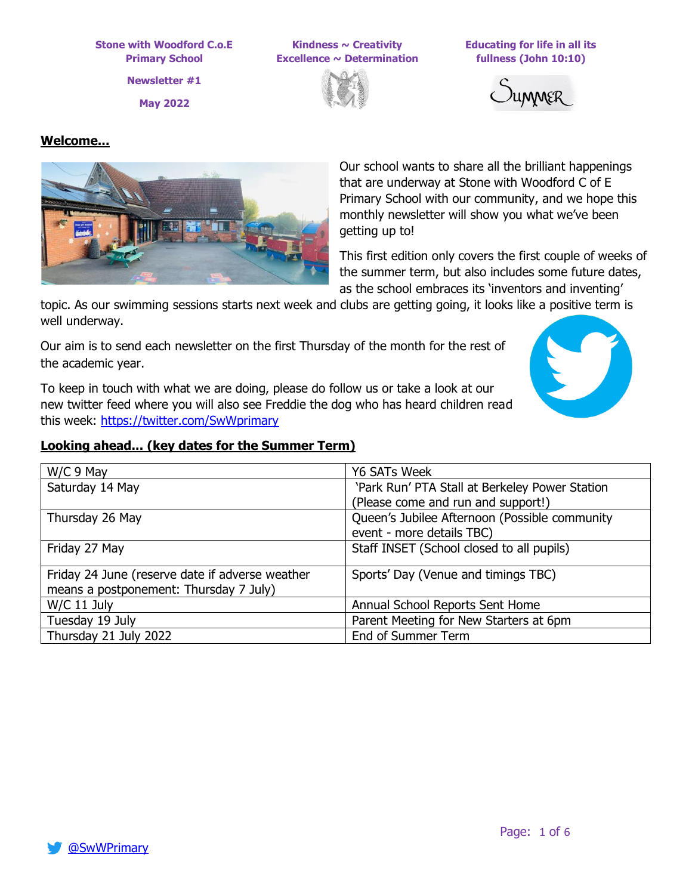> **Newsletter #1 May 2022**

**Kindness ~ Creativity Excellence ~ Determination**



**Educating for life in all its fullness (John 10:10)**



### **Welcome...**



Our school wants to share all the brilliant happenings that are underway at Stone with Woodford C of E Primary School with our community, and we hope this monthly newsletter will show you what we've been getting up to!

This first edition only covers the first couple of weeks of the summer term, but also includes some future dates, as the school embraces its 'inventors and inventing'

topic. As our swimming sessions starts next week and clubs are getting going, it looks like a positive term is well underway.

Our aim is to send each newsletter on the first Thursday of the month for the rest of the academic year.

To keep in touch with what we are doing, please do follow us or take a look at our new twitter feed where you will also see Freddie the dog who has heard children read this week:<https://twitter.com/SwWprimary>



## **Looking ahead... (key dates for the Summer Term)**

| $W/C$ 9 May                                     | <b>Y6 SATs Week</b>                            |
|-------------------------------------------------|------------------------------------------------|
| Saturday 14 May                                 | 'Park Run' PTA Stall at Berkeley Power Station |
|                                                 | (Please come and run and support!)             |
| Thursday 26 May                                 | Queen's Jubilee Afternoon (Possible community  |
|                                                 | event - more details TBC)                      |
| Friday 27 May                                   | Staff INSET (School closed to all pupils)      |
|                                                 |                                                |
| Friday 24 June (reserve date if adverse weather | Sports' Day (Venue and timings TBC)            |
| means a postponement: Thursday 7 July)          |                                                |
| $W/C$ 11 July                                   | Annual School Reports Sent Home                |
| Tuesday 19 July                                 | Parent Meeting for New Starters at 6pm         |
| Thursday 21 July 2022                           | End of Summer Term                             |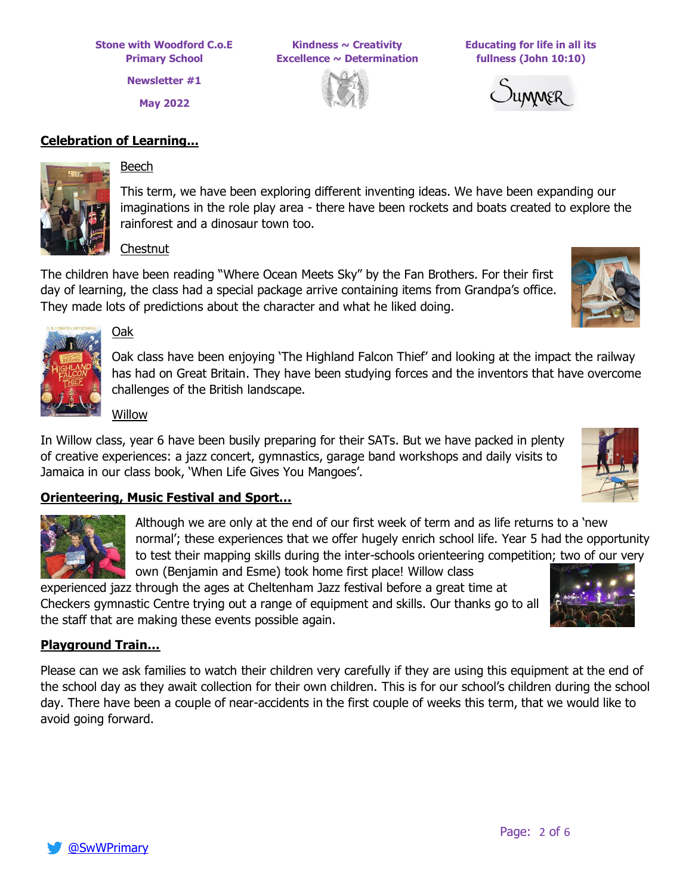**Newsletter #1**

**May 2022**

**Kindness ~ Creativity Excellence ~ Determination**



**Educating for life in all its fullness (John 10:10)**



## **Celebration of Learning...** Beech

This term, we have been exploring different inventing ideas. We have been expanding our imaginations in the role play area - there have been rockets and boats created to explore the rainforest and a dinosaur town too.

## **Chestnut**

The children have been reading "Where Ocean Meets Sky" by the Fan Brothers. For their first day of learning, the class had a special package arrive containing items from Grandpa's office. They made lots of predictions about the character and what he liked doing.



## Oak

Oak class have been enjoying 'The Highland Falcon Thief' and looking at the impact the railway has had on Great Britain. They have been studying forces and the inventors that have overcome challenges of the British landscape.

Willow

In Willow class, year 6 have been busily preparing for their SATs. But we have packed in plenty of creative experiences: a jazz concert, gymnastics, garage band workshops and daily visits to Jamaica in our class book, 'When Life Gives You Mangoes'.

## **Orienteering, Music Festival and Sport…**



Although we are only at the end of our first week of term and as life returns to a 'new normal'; these experiences that we offer hugely enrich school life. Year 5 had the opportunity to test their mapping skills during the inter-schools orienteering competition; two of our very

own (Benjamin and Esme) took home first place! Willow class

experienced jazz through the ages at Cheltenham Jazz festival before a great time at Checkers gymnastic Centre trying out a range of equipment and skills. Our thanks go to all the staff that are making these events possible again.

## **Playground Train…**

Please can we ask families to watch their children very carefully if they are using this equipment at the end of the school day as they await collection for their own children. This is for our school's children during the school day. There have been a couple of near-accidents in the first couple of weeks this term, that we would like to avoid going forward.



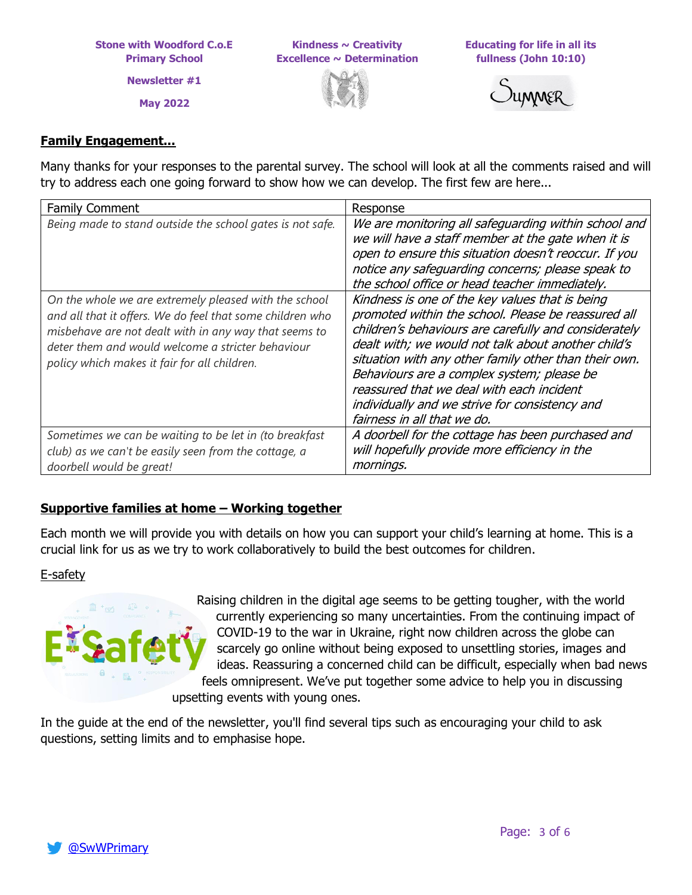**Newsletter #1**

**May 2022**

**Kindness ~ Creativity Excellence ~ Determination**



**Educating for life in all its fullness (John 10:10)**



## **Family Engagement...**

Many thanks for your responses to the parental survey. The school will look at all the comments raised and will try to address each one going forward to show how we can develop. The first few are here...

| <b>Family Comment</b>                                                                                                                                                                                                                                                            | Response                                                                                                                                                                                                                                                                                                                                                                                                                                                    |
|----------------------------------------------------------------------------------------------------------------------------------------------------------------------------------------------------------------------------------------------------------------------------------|-------------------------------------------------------------------------------------------------------------------------------------------------------------------------------------------------------------------------------------------------------------------------------------------------------------------------------------------------------------------------------------------------------------------------------------------------------------|
| Being made to stand outside the school gates is not safe.                                                                                                                                                                                                                        | We are monitoring all safeguarding within school and<br>we will have a staff member at the gate when it is<br>open to ensure this situation doesn't reoccur. If you<br>notice any safequarding concerns; please speak to<br>the school office or head teacher immediately.                                                                                                                                                                                  |
| On the whole we are extremely pleased with the school<br>and all that it offers. We do feel that some children who<br>misbehave are not dealt with in any way that seems to<br>deter them and would welcome a stricter behaviour<br>policy which makes it fair for all children. | Kindness is one of the key values that is being<br>promoted within the school. Please be reassured all<br>children's behaviours are carefully and considerately<br>dealt with; we would not talk about another child's<br>situation with any other family other than their own.<br>Behaviours are a complex system; please be<br>reassured that we deal with each incident<br>individually and we strive for consistency and<br>fairness in all that we do. |
| Sometimes we can be waiting to be let in (to breakfast<br>club) as we can't be easily seen from the cottage, a<br>doorbell would be great!                                                                                                                                       | A doorbell for the cottage has been purchased and<br>will hopefully provide more efficiency in the<br>mornings.                                                                                                                                                                                                                                                                                                                                             |

## **Supportive families at home – Working together**

Each month we will provide you with details on how you can support your child's learning at home. This is a crucial link for us as we try to work collaboratively to build the best outcomes for children.

## E-safety



Raising children in the digital age seems to be getting tougher, with the world currently experiencing so many uncertainties. From the continuing impact of COVID-19 to the war in Ukraine, right now children across the globe can scarcely go online without being exposed to unsettling stories, images and ideas. Reassuring a concerned child can be difficult, especially when bad news feels omnipresent. We've put together some advice to help you in discussing upsetting events with young ones.

In the guide at the end of the newsletter, you'll find several tips such as encouraging your child to ask questions, setting limits and to emphasise hope.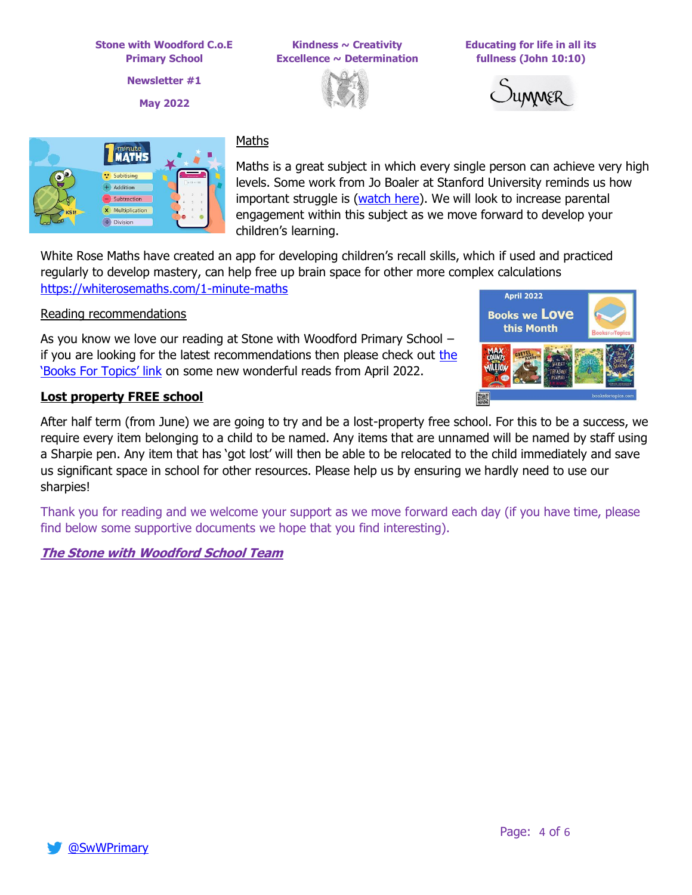**Newsletter #1**

**May 2022**

**Kindness ~ Creativity Excellence ~ Determination**



**Educating for life in all its fullness (John 10:10)**





## Maths

Maths is a great subject in which every single person can achieve very high levels. Some work from Jo Boaler at Stanford University reminds us how important struggle is [\(watch here\)](https://www.youcubed.org/resources/excerpt-of-jo-from-the-importance-of-struggle/). We will look to increase parental engagement within this subject as we move forward to develop your children's learning.

White Rose Maths have created an app for developing children's recall skills, which if used and practiced regularly to develop mastery, can help free up brain space for other more complex calculations <https://whiterosemaths.com/1-minute-maths>

## Reading recommendations

As you know we love our reading at Stone with Woodford Primary School – if you are looking for the latest recommendations then please check out [the](https://www.booksfortopics.com/april-2022?utm_campaign=9c308762-95b4-46ce-924c-d4f7a9c01683&utm_source=so&utm_medium=mail&cid=f18e2dbb-6244-4d94-8535-97c301ed9181)  ['Books For Topics' link](https://www.booksfortopics.com/april-2022?utm_campaign=9c308762-95b4-46ce-924c-d4f7a9c01683&utm_source=so&utm_medium=mail&cid=f18e2dbb-6244-4d94-8535-97c301ed9181) on some new wonderful reads from April 2022.



## **Lost property FREE school**

After half term (from June) we are going to try and be a lost-property free school. For this to be a success, we require every item belonging to a child to be named. Any items that are unnamed will be named by staff using a Sharpie pen. Any item that has 'got lost' will then be able to be relocated to the child immediately and save us significant space in school for other resources. Please help us by ensuring we hardly need to use our sharpies!

Thank you for reading and we welcome your support as we move forward each day (if you have time, please find below some supportive documents we hope that you find interesting).

## **The Stone with Woodford School Team**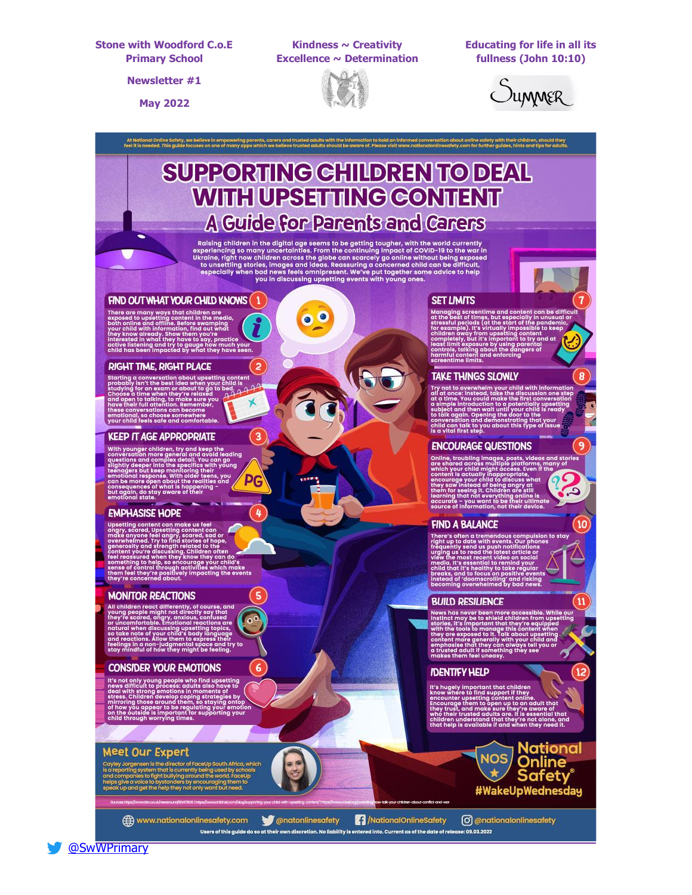**Newsletter #1** 

**May 2022** 

Kindness  $\sim$  Creativity **Excellence**  $\sim$  **Determination** 



At National Online Safety, we believe in empowering parents, carers and trusted adults with the information to hold an informed conversation about online safety with their children, should they are the information of the c

**Educating for life in all its** fullness (John 10:10)



# **SUPPORTING CHILDRENTO DEAL WITH UPSETTING CONTENT A Guide for Parents and Carers**

Raising children in the digital age seems to be getting tougher, with the world currently experiencing so many uncertainties. From the continuing impact of COVID-19 to the war in Ukraine, right now children across the glob

 $\bullet$ 

2

ີ3

4

 $\overline{\mathbf{5}}$ 

6

 $\mathsf{o}^{\mathsf{o}}$ 



### FIND OUT WHAT YOUR CHILD KNOWS (1)

.<br>There are many ways that children are<br>exposed to upsetting content in the mer sed to upsetting content in the media,<br>child with information for the media,<br>child with information, find out what<br>know directly. Show them you're<br>ested in what they have to say, practice<br>estistening and try to gauge how m

### RIGHT TIME, RIGHT PLACE

ing a conversation about upsetting content<br>abity isn't the best idea when your child is<br>ying for an exam or about to go to bed.<br>see a time when they're relaxed ing for an exam or about to go t<br>e a time when they're relaxed<br>pen to talking, to make sure you<br>heir full attention, Remember,<br>conversations can become<br>pnd, so choose somewhere<br>hild feels safe and comfortable

### **KEEP IT AGE APPROPRIATE**

With younger children, try and keep the<br>intervalsion and complete children in the separation and conditation<br>intervalsion and complex details for our can go in<br>ightly deeper into the specifics with young<br>semagers but keep sina PG

### **EMPHASISE HOPE**

The unit of the control of the state of the state of the state and the match and the state of the state of the state of the state of the state of the control density of the state of the content your deduces the control of

### **MONITOR REACTIONS**

All children react differently, of c<br>young people might not directly<br>they're scared, angry, anxious, c<br>or uncomfortable. Emotional rea natural when discussing upsetting topics.<br>so take note of your child's body language<br>and reactions. Allow them to express their<br>feelings in a non-judgmental space and try to<br>stay mindful of how they might be feeling.

### **CONSIDER YOUR EMOTIONS**

t only young people who find upset alidren develop coping strong<br>those around them, so strong strong strong strong them, so strong strong strong strong strong strong strong strong strong strong strong strong strong strong strong strong strong strong strong

### **Meet Our Expert**

y Jorgensen is the director of F<br>porting system that is current

(@) www.nationalonlinesafety.com of @natonlinesafety

MationalOnlineSafety

O @nationalonlinesafety Users of this guide do so at their own discretion. No liability is entered into. Current as of the date of release: 09.03.2022

**TAKE THINGS SLOWLY** 8 First the overview of the control of the state of the state of the distance of the distance of the distance of the state of the state of the state of the state of the state of the state of the state of the state of the con

9

 $10$ 

11

12

#### **ENCOURAGE QUESTIONS**

**SET LIMITS** 

ing scree<br>best of ti

il periods<br>nple). It's<br>I away fre

ere, troubling images, posts, video<br>the hard derois multiple platforms in the change of the control of the<br>change of the control of the proposal of the control of the<br>same proposed of the discussion of the results<br>in for s م

### **FIND A BALANCE**

ere's often a tremendous contrary<br>ht up to date with events. C<br>quently send us push notifing us to read the latest are ilsion to stay he most recent video on<br>het it's essential to remino<br>hat it's healthy to take<br>s, and to focus on positiv<br>d of 'doomscrolling' and<br>ning overwhelmed by bo

### **BUILD RESILIENCE**

exposed to it. Talk<br>more generally with<br>se that they can all<br>adult if something<br>lem feel uneasy.

### **IDENTIFY HELP**

ortant that children<br>find support if they ere to find support if they<br>are upsetting contant online.<br>The them to open up to an action of the stars they're at<br>trusted adults are. It is essingled in the stars in<br>is available if and when the<br>is available if and when t